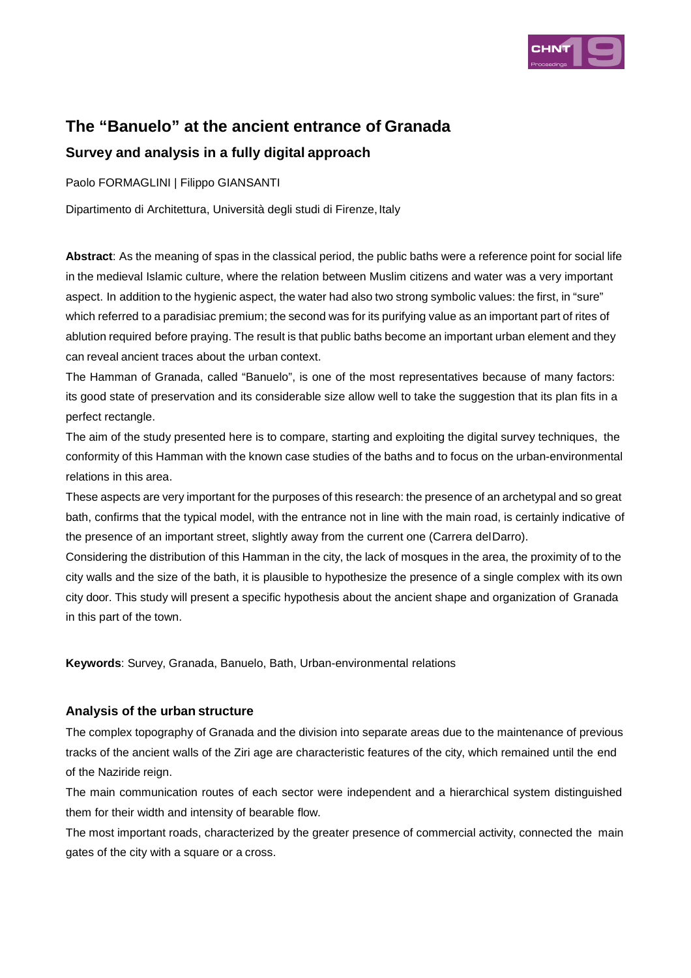

# **The "Banuelo" at the ancient entrance of Granada Survey and analysis in a fully digital approach**

Paolo FORMAGLINI | Filippo GIANSANTI

Dipartimento di Architettura, Università degli studi di Firenze, Italy

**Abstract**: As the meaning of spas in the classical period, the public baths were a reference point for social life in the medieval Islamic culture, where the relation between Muslim citizens and water was a very important aspect. In addition to the hygienic aspect, the water had also two strong symbolic values: the first, in "sure" which referred to a paradisiac premium; the second was for its purifying value as an important part of rites of ablution required before praying. The result is that public baths become an important urban element and they can reveal ancient traces about the urban context.

The Hamman of Granada, called "Banuelo", is one of the most representatives because of many factors: its good state of preservation and its considerable size allow well to take the suggestion that its plan fits in a perfect rectangle.

The aim of the study presented here is to compare, starting and exploiting the digital survey techniques, the conformity of this Hamman with the known case studies of the baths and to focus on the urban-environmental relations in this area.

These aspects are very important for the purposes of this research: the presence of an archetypal and so great bath, confirms that the typical model, with the entrance not in line with the main road, is certainly indicative of the presence of an important street, slightly away from the current one (Carrera del Darro).

Considering the distribution of this Hamman in the city, the lack of mosques in the area, the proximity of to the city walls and the size of the bath, it is plausible to hypothesize the presence of a single complex with its own city door. This study will present a specific hypothesis about the ancient shape and organization of Granada in this part of the town.

**Keywords**: Survey, Granada, Banuelo, Bath, Urban-environmental relations

## **Analysis of the urban structure**

The complex topography of Granada and the division into separate areas due to the maintenance of previous tracks of the ancient walls of the Ziri age are characteristic features of the city, which remained until the end of the Naziride reign.

The main communication routes of each sector were independent and a hierarchical system distinguished them for their width and intensity of bearable flow.

The most important roads, characterized by the greater presence of commercial activity, connected the main gates of the city with a square or a cross.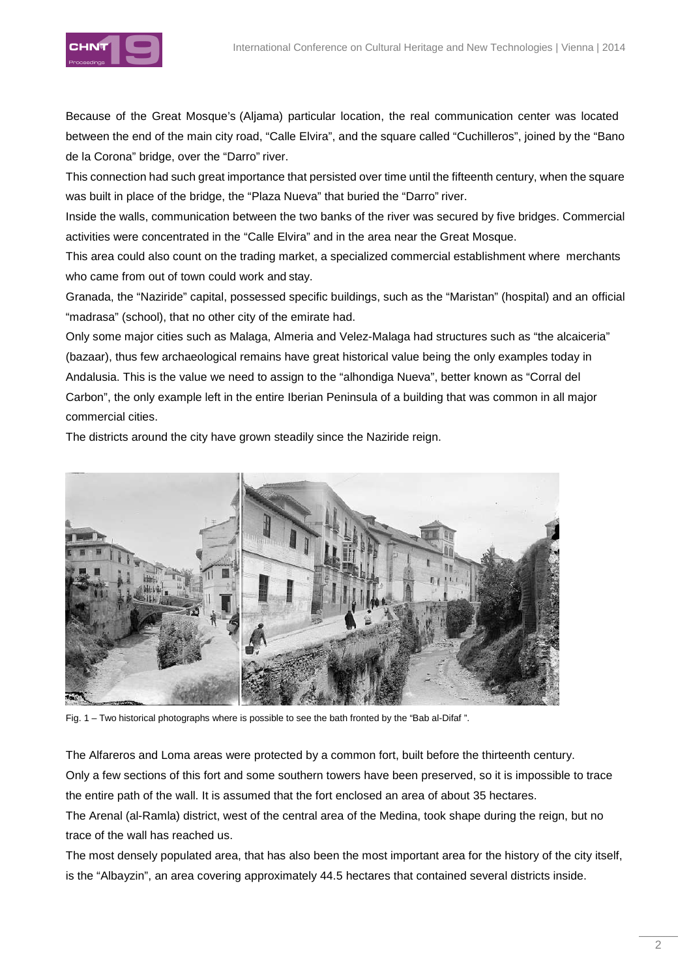

Because of the Great Mosque's (Aljama) particular location, the real communication center was located between the end of the main city road, "Calle Elvira", and the square called "Cuchilleros", joined by the "Bano de la Corona" bridge, over the "Darro" river.

This connection had such great importance that persisted over time until the fifteenth century, when the square was built in place of the bridge, the "Plaza Nueva" that buried the "Darro" river.

Inside the walls, communication between the two banks of the river was secured by five bridges. Commercial activities were concentrated in the "Calle Elvira" and in the area near the Great Mosque.

This area could also count on the trading market, a specialized commercial establishment where merchants who came from out of town could work and stay.

Granada, the "Naziride" capital, possessed specific buildings, such as the "Maristan" (hospital) and an official "madrasa" (school), that no other city of the emirate had.

Only some major cities such as Malaga, Almeria and Velez-Malaga had structures such as "the alcaiceria" (bazaar), thus few archaeological remains have great historical value being the only examples today in Andalusia. This is the value we need to assign to the "alhondiga Nueva", better known as "Corral del Carbon", the only example left in the entire Iberian Peninsula of a building that was common in all major commercial cities.

The districts around the city have grown steadily since the Naziride reign.



Fig. 1 – Two historical photographs where is possible to see the bath fronted by the "Bab al-Difaf ".

The Alfareros and Loma areas were protected by a common fort, built before the thirteenth century. Only a few sections of this fort and some southern towers have been preserved, so it is impossible to trace the entire path of the wall. It is assumed that the fort enclosed an area of about 35 hectares. The Arenal (al-Ramla) district, west of the central area of the Medina, took shape during the reign, but no

trace of the wall has reached us.

The most densely populated area, that has also been the most important area for the history of the city itself, is the "Albayzin", an area covering approximately 44.5 hectares that contained several districts inside.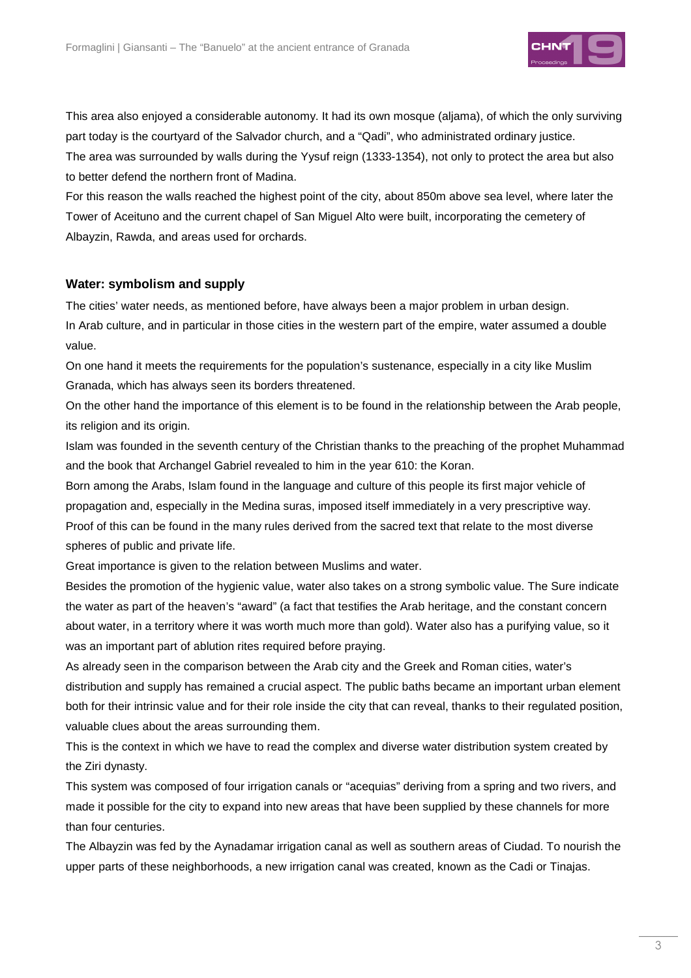

This area also enjoyed a considerable autonomy. It had its own mosque (aljama), of which the only surviving part today is the courtyard of the Salvador church, and a "Qadi", who administrated ordinary justice. The area was surrounded by walls during the Yysuf reign (1333-1354), not only to protect the area but also to better defend the northern front of Madina.

For this reason the walls reached the highest point of the city, about 850m above sea level, where later the Tower of Aceituno and the current chapel of San Miguel Alto were built, incorporating the cemetery of Albayzin, Rawda, and areas used for orchards.

#### **Water: symbolism and supply**

The cities' water needs, as mentioned before, have always been a major problem in urban design. In Arab culture, and in particular in those cities in the western part of the empire, water assumed a double value.

On one hand it meets the requirements for the population's sustenance, especially in a city like Muslim Granada, which has always seen its borders threatened.

On the other hand the importance of this element is to be found in the relationship between the Arab people, its religion and its origin.

Islam was founded in the seventh century of the Christian thanks to the preaching of the prophet Muhammad and the book that Archangel Gabriel revealed to him in the year 610: the Koran.

Born among the Arabs, Islam found in the language and culture of this people its first major vehicle of propagation and, especially in the Medina suras, imposed itself immediately in a very prescriptive way. Proof of this can be found in the many rules derived from the sacred text that relate to the most diverse spheres of public and private life.

Great importance is given to the relation between Muslims and water.

Besides the promotion of the hygienic value, water also takes on a strong symbolic value. The Sure indicate the water as part of the heaven's "award" (a fact that testifies the Arab heritage, and the constant concern about water, in a territory where it was worth much more than gold). Water also has a purifying value, so it was an important part of ablution rites required before praying.

As already seen in the comparison between the Arab city and the Greek and Roman cities, water's distribution and supply has remained a crucial aspect. The public baths became an important urban element both for their intrinsic value and for their role inside the city that can reveal, thanks to their regulated position, valuable clues about the areas surrounding them.

This is the context in which we have to read the complex and diverse water distribution system created by the Ziri dynasty.

This system was composed of four irrigation canals or "acequias" deriving from a spring and two rivers, and made it possible for the city to expand into new areas that have been supplied by these channels for more than four centuries.

The Albayzin was fed by the Aynadamar irrigation canal as well as southern areas of Ciudad. To nourish the upper parts of these neighborhoods, a new irrigation canal was created, known as the Cadi or Tinajas.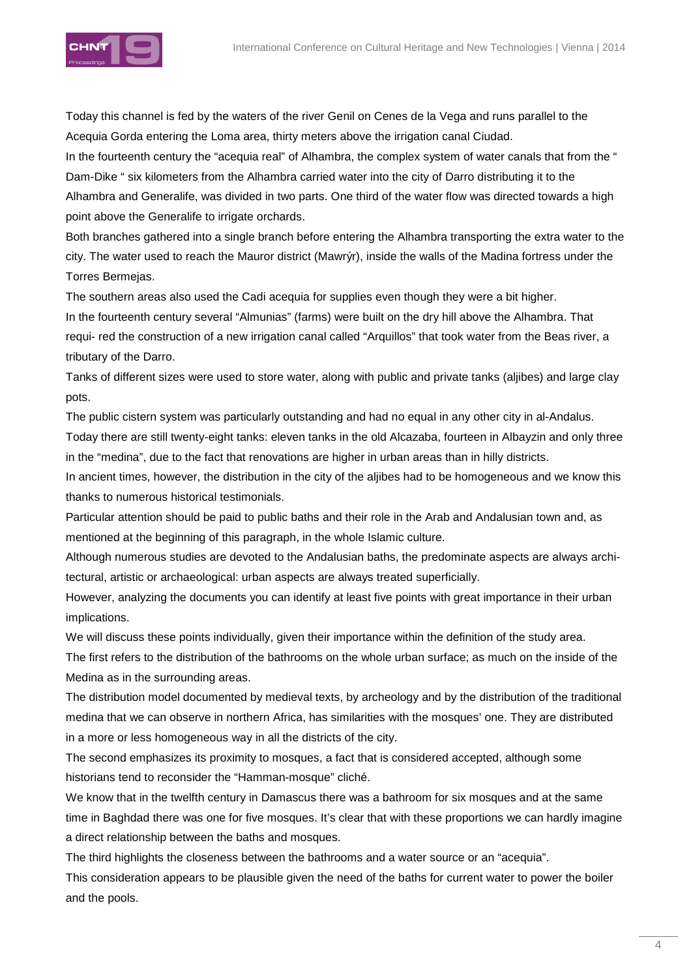

Today this channel is fed by the waters of the river Genil on Cenes de la Vega and runs parallel to the Acequia Gorda entering the Loma area, thirty meters above the irrigation canal Ciudad.

In the fourteenth century the "acequia real" of Alhambra, the complex system of water canals that from the " Dam-Dike " six kilometers from the Alhambra carried water into the city of Darro distributing it to the Alhambra and Generalife, was divided in two parts. One third of the water flow was directed towards a high point above the Generalife to irrigate orchards.

Both branches gathered into a single branch before entering the Alhambra transporting the extra water to the city. The water used to reach the Mauror district (Mawrýr), inside the walls of the Madina fortress under the Torres Bermejas.

The southern areas also used the Cadi acequia for supplies even though they were a bit higher. In the fourteenth century several "Almunias" (farms) were built on the dry hill above the Alhambra. That requi- red the construction of a new irrigation canal called "Arquillos" that took water from the Beas river, a tributary of the Darro.

Tanks of different sizes were used to store water, along with public and private tanks (aljibes) and large clay pots.

The public cistern system was particularly outstanding and had no equal in any other city in al-Andalus.

Today there are still twenty-eight tanks: eleven tanks in the old Alcazaba, fourteen in Albayzin and only three in the "medina", due to the fact that renovations are higher in urban areas than in hilly districts.

In ancient times, however, the distribution in the city of the aljibes had to be homogeneous and we know this thanks to numerous historical testimonials.

Particular attention should be paid to public baths and their role in the Arab and Andalusian town and, as mentioned at the beginning of this paragraph, in the whole Islamic culture.

Although numerous studies are devoted to the Andalusian baths, the predominate aspects are always architectural, artistic or archaeological: urban aspects are always treated superficially.

However, analyzing the documents you can identify at least five points with great importance in their urban implications.

We will discuss these points individually, given their importance within the definition of the study area.

The first refers to the distribution of the bathrooms on the whole urban surface; as much on the inside of the Medina as in the surrounding areas.

The distribution model documented by medieval texts, by archeology and by the distribution of the traditional medina that we can observe in northern Africa, has similarities with the mosques' one. They are distributed in a more or less homogeneous way in all the districts of the city.

The second emphasizes its proximity to mosques, a fact that is considered accepted, although some historians tend to reconsider the "Hamman-mosque" cliché.

We know that in the twelfth century in Damascus there was a bathroom for six mosques and at the same time in Baghdad there was one for five mosques. It's clear that with these proportions we can hardly imagine a direct relationship between the baths and mosques.

The third highlights the closeness between the bathrooms and a water source or an "acequia".

This consideration appears to be plausible given the need of the baths for current water to power the boiler and the pools.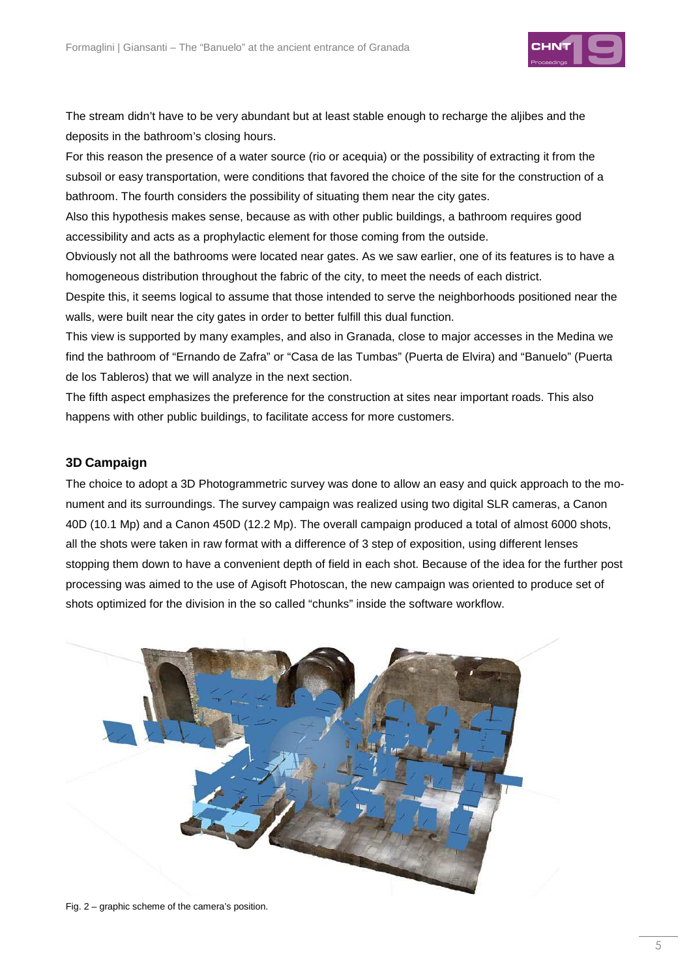

The stream didn't have to be very abundant but at least stable enough to recharge the aljibes and the deposits in the bathroom's closing hours.

For this reason the presence of a water source (rio or acequia) or the possibility of extracting it from the subsoil or easy transportation, were conditions that favored the choice of the site for the construction of a bathroom. The fourth considers the possibility of situating them near the city gates.

Also this hypothesis makes sense, because as with other public buildings, a bathroom requires good accessibility and acts as a prophylactic element for those coming from the outside.

Obviously not all the bathrooms were located near gates. As we saw earlier, one of its features is to have a homogeneous distribution throughout the fabric of the city, to meet the needs of each district.

Despite this, it seems logical to assume that those intended to serve the neighborhoods positioned near the walls, were built near the city gates in order to better fulfill this dual function.

This view is supported by many examples, and also in Granada, close to major accesses in the Medina we find the bathroom of "Ernando de Zafra" or "Casa de las Tumbas" (Puerta de Elvira) and "Banuelo" (Puerta de los Tableros) that we will analyze in the next section.

The fifth aspect emphasizes the preference for the construction at sites near important roads. This also happens with other public buildings, to facilitate access for more customers.

## **3D Campaign**

The choice to adopt a 3D Photogrammetric survey was done to allow an easy and quick approach to the monument and its surroundings. The survey campaign was realized using two digital SLR cameras, a Canon 40D (10.1 Mp) and a Canon 450D (12.2 Mp). The overall campaign produced a total of almost 6000 shots, all the shots were taken in raw format with a difference of 3 step of exposition, using different lenses stopping them down to have a convenient depth of field in each shot. Because of the idea for the further post processing was aimed to the use of Agisoft Photoscan, the new campaign was oriented to produce set of shots optimized for the division in the so called "chunks" inside the software workflow.



Fig. 2 – graphic scheme of the camera's position.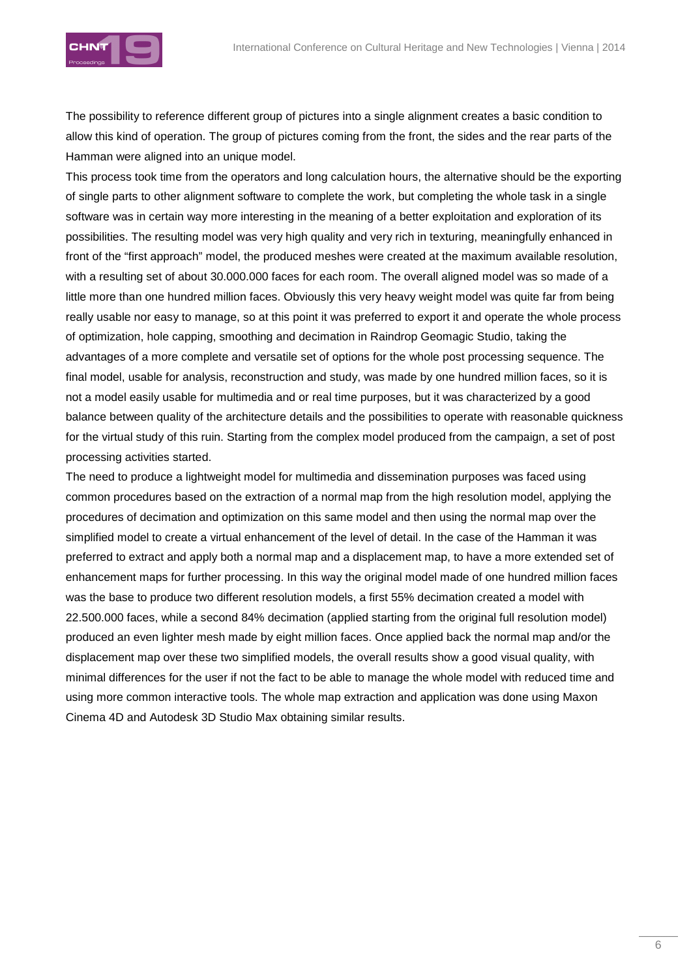

The possibility to reference different group of pictures into a single alignment creates a basic condition to allow this kind of operation. The group of pictures coming from the front, the sides and the rear parts of the Hamman were aligned into an unique model.

This process took time from the operators and long calculation hours, the alternative should be the exporting of single parts to other alignment software to complete the work, but completing the whole task in a single software was in certain way more interesting in the meaning of a better exploitation and exploration of its possibilities. The resulting model was very high quality and very rich in texturing, meaningfully enhanced in front of the "first approach" model, the produced meshes were created at the maximum available resolution, with a resulting set of about 30.000.000 faces for each room. The overall aligned model was so made of a little more than one hundred million faces. Obviously this very heavy weight model was quite far from being really usable nor easy to manage, so at this point it was preferred to export it and operate the whole process of optimization, hole capping, smoothing and decimation in Raindrop Geomagic Studio, taking the advantages of a more complete and versatile set of options for the whole post processing sequence. The final model, usable for analysis, reconstruction and study, was made by one hundred million faces, so it is not a model easily usable for multimedia and or real time purposes, but it was characterized by a good balance between quality of the architecture details and the possibilities to operate with reasonable quickness for the virtual study of this ruin. Starting from the complex model produced from the campaign, a set of post processing activities started.

The need to produce a lightweight model for multimedia and dissemination purposes was faced using common procedures based on the extraction of a normal map from the high resolution model, applying the procedures of decimation and optimization on this same model and then using the normal map over the simplified model to create a virtual enhancement of the level of detail. In the case of the Hamman it was preferred to extract and apply both a normal map and a displacement map, to have a more extended set of enhancement maps for further processing. In this way the original model made of one hundred million faces was the base to produce two different resolution models, a first 55% decimation created a model with 22.500.000 faces, while a second 84% decimation (applied starting from the original full resolution model) produced an even lighter mesh made by eight million faces. Once applied back the normal map and/or the displacement map over these two simplified models, the overall results show a good visual quality, with minimal differences for the user if not the fact to be able to manage the whole model with reduced time and using more common interactive tools. The whole map extraction and application was done using Maxon Cinema 4D and Autodesk 3D Studio Max obtaining similar results.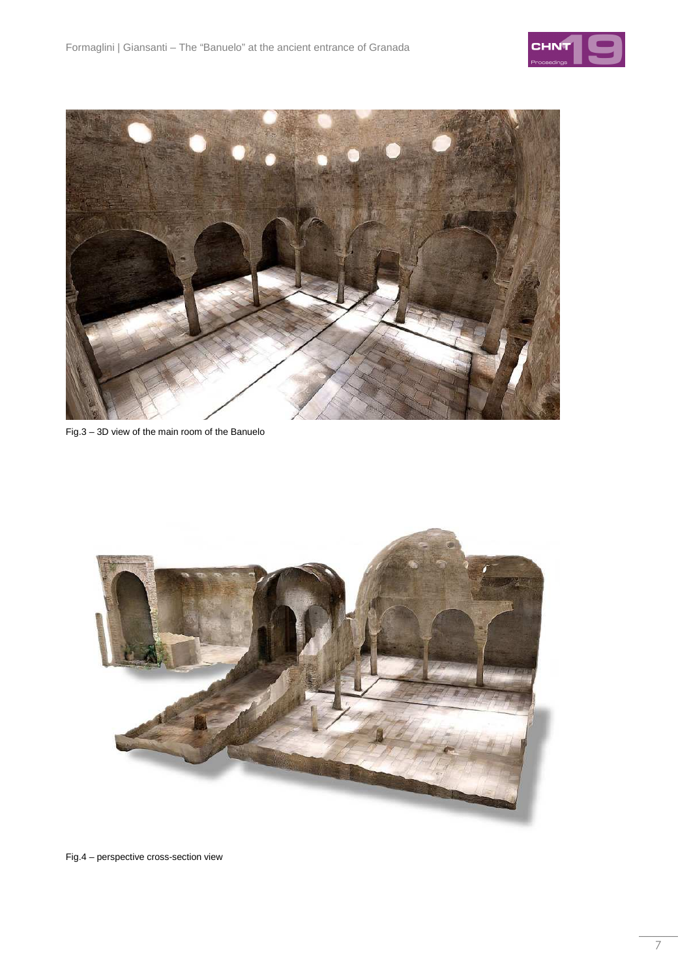



Fig.3 – 3D view of the main room of the Banuelo



Fig.4 – perspective cross-section view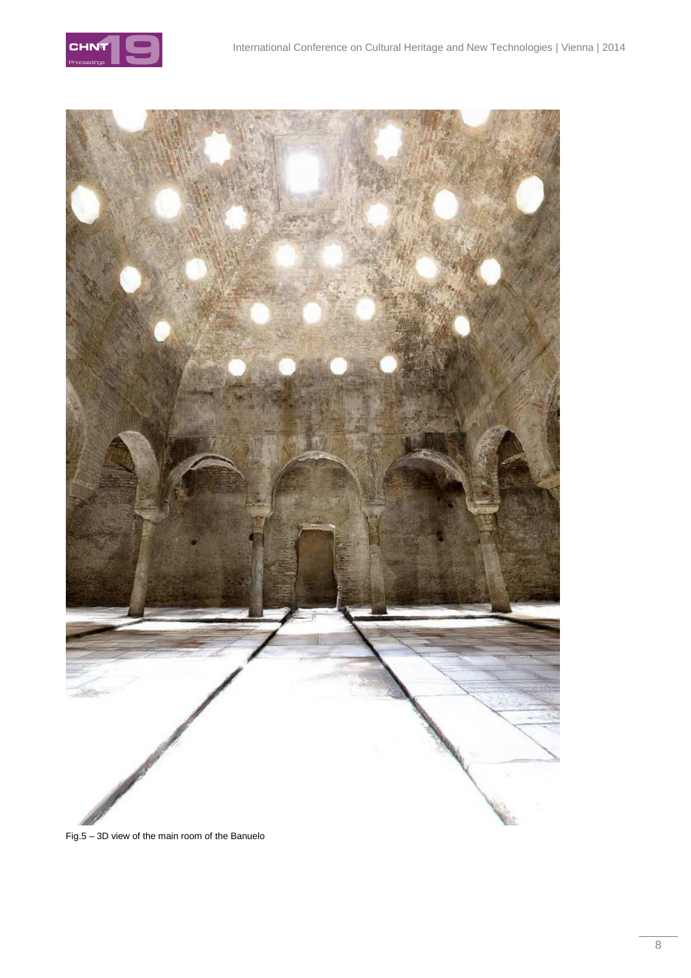



Fig.5 – 3D view of the main room of the Banuelo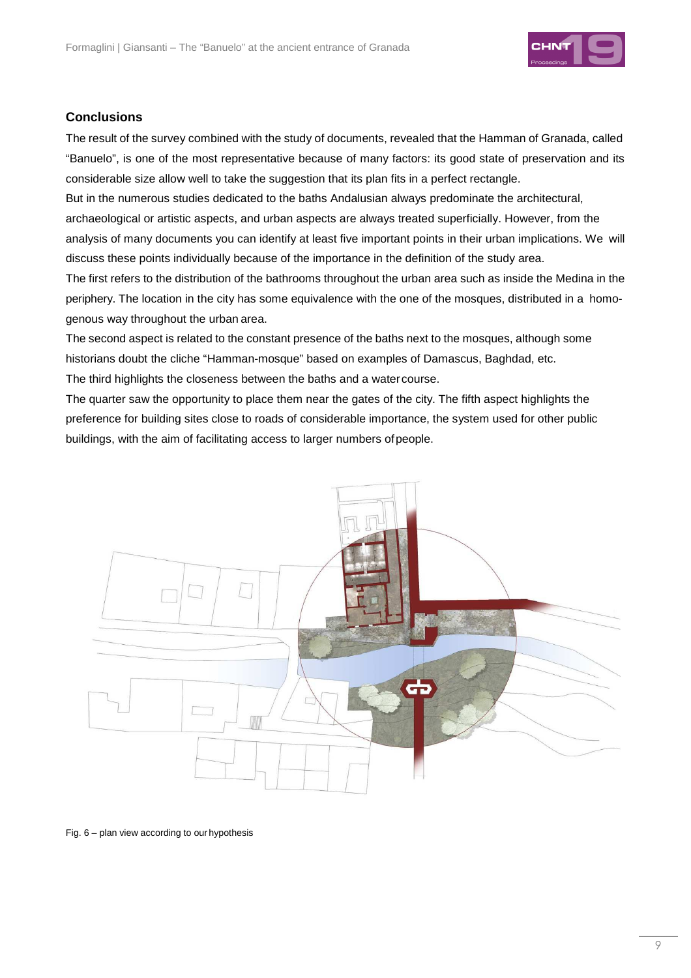

#### **Conclusions**

The result of the survey combined with the study of documents, revealed that the Hamman of Granada, called "Banuelo", is one of the most representative because of many factors: its good state of preservation and its considerable size allow well to take the suggestion that its plan fits in a perfect rectangle.

But in the numerous studies dedicated to the baths Andalusian always predominate the architectural, archaeological or artistic aspects, and urban aspects are always treated superficially. However, from the analysis of many documents you can identify at least five important points in their urban implications. We will discuss these points individually because of the importance in the definition of the study area.

The first refers to the distribution of the bathrooms throughout the urban area such as inside the Medina in the periphery. The location in the city has some equivalence with the one of the mosques, distributed in a homogenous way throughout the urban area.

The second aspect is related to the constant presence of the baths next to the mosques, although some historians doubt the cliche "Hamman-mosque" based on examples of Damascus, Baghdad, etc. The third highlights the closeness between the baths and a water course.

The quarter saw the opportunity to place them near the gates of the city. The fifth aspect highlights the preference for building sites close to roads of considerable importance, the system used for other public buildings, with the aim of facilitating access to larger numbers of people.



Fig. 6 – plan view according to our hypothesis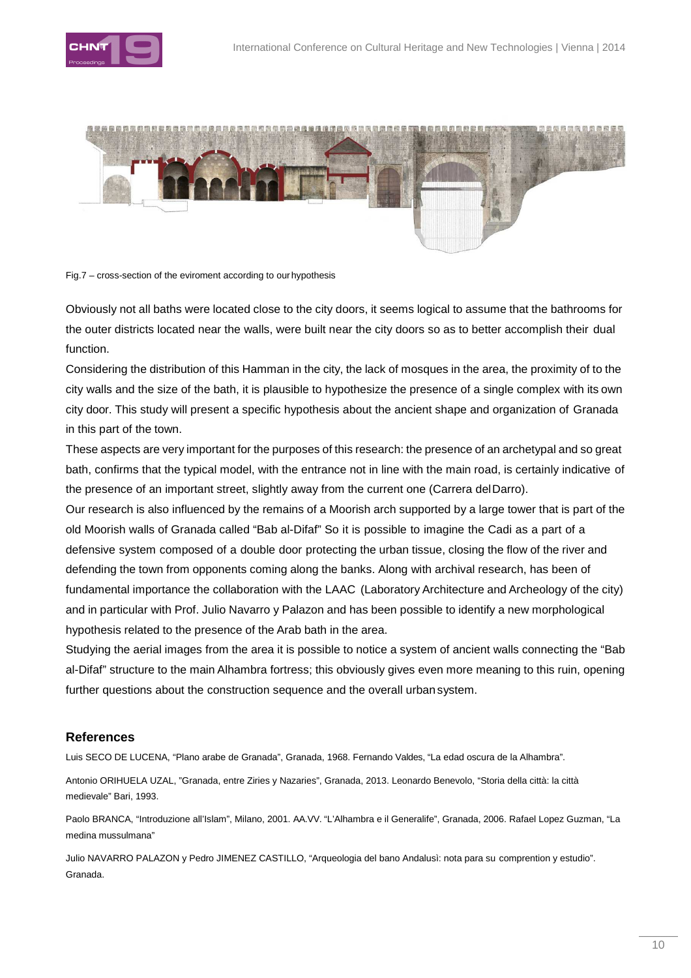





Obviously not all baths were located close to the city doors, it seems logical to assume that the bathrooms for the outer districts located near the walls, were built near the city doors so as to better accomplish their dual function.

Considering the distribution of this Hamman in the city, the lack of mosques in the area, the proximity of to the city walls and the size of the bath, it is plausible to hypothesize the presence of a single complex with its own city door. This study will present a specific hypothesis about the ancient shape and organization of Granada in this part of the town.

These aspects are very important for the purposes of this research: the presence of an archetypal and so great bath, confirms that the typical model, with the entrance not in line with the main road, is certainly indicative of the presence of an important street, slightly away from the current one (Carrera del Darro).

Our research is also influenced by the remains of a Moorish arch supported by a large tower that is part of the old Moorish walls of Granada called "Bab al-Difaf" So it is possible to imagine the Cadi as a part of a defensive system composed of a double door protecting the urban tissue, closing the flow of the river and defending the town from opponents coming along the banks. Along with archival research, has been of fundamental importance the collaboration with the LAAC (Laboratory Architecture and Archeology of the city) and in particular with Prof. Julio Navarro y Palazon and has been possible to identify a new morphological hypothesis related to the presence of the Arab bath in the area.

Studying the aerial images from the area it is possible to notice a system of ancient walls connecting the "Bab al-Difaf" structure to the main Alhambra fortress; this obviously gives even more meaning to this ruin, opening further questions about the construction sequence and the overall urban system.

## **References**

Luis SECO DE LUCENA, "Plano arabe de Granada", Granada, 1968. Fernando Valdes, "La edad oscura de la Alhambra".

Antonio ORIHUELA UZAL, "Granada, entre Ziries y Nazaries", Granada, 2013. Leonardo Benevolo, "Storia della città: la città medievale" Bari, 1993.

Paolo BRANCA, "Introduzione all'Islam", Milano, 2001. AA.VV. "L'Alhambra e il Generalife", Granada, 2006. Rafael Lopez Guzman, "La medina mussulmana"

Julio NAVARRO PALAZON y Pedro JIMENEZ CASTILLO, "Arqueologia del bano Andalusì: nota para su comprention y estudio". Granada.